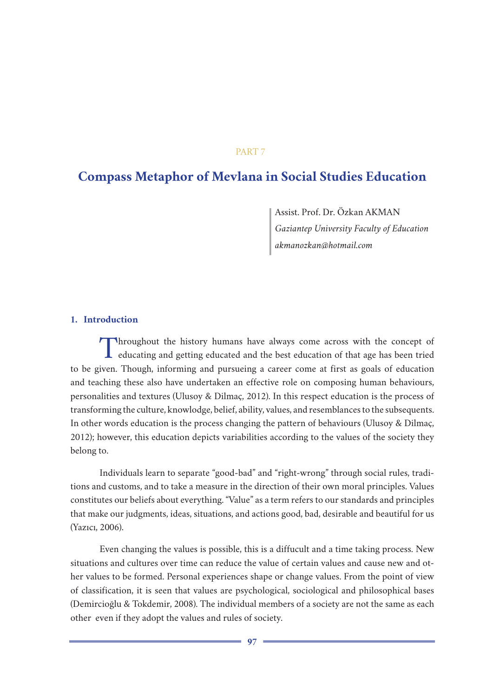# PART 7

# **Compass Metaphor of Mevlana in Social Studies Education**

Assist. Prof. Dr. Özkan AKMAN *Gaziantep University Faculty of Education akmanozkan@hotmail.com*

# **1. Introduction**

Throughout the history humans have always come across with the concept of educating and getting educated and the best education of that age has been tried to be given. Though, informing and pursueing a career come at first as goals of education and teaching these also have undertaken an effective role on composing human behaviours, personalities and textures (Ulusoy & Dilmaç, 2012). In this respect education is the process of transforming the culture, knowlodge, belief, ability, values, and resemblances to the subsequents. In other words education is the process changing the pattern of behaviours (Ulusoy & Dilmaç, 2012); however, this education depicts variabilities according to the values of the society they belong to.

Individuals learn to separate "good-bad" and "right-wrong" through social rules, traditions and customs, and to take a measure in the direction of their own moral principles. Values constitutes our beliefs about everything. "Value" as a term refers to our standards and principles that make our judgments, ideas, situations, and actions good, bad, desirable and beautiful for us (Yazıcı, 2006).

Even changing the values is possible, this is a diffucult and a time taking process. New situations and cultures over time can reduce the value of certain values and cause new and other values to be formed. Personal experiences shape or change values. From the point of view of classification, it is seen that values are psychological, sociological and philosophical bases (Demircioğlu & Tokdemir, 2008). The individual members of a society are not the same as each other even if they adopt the values and rules of society.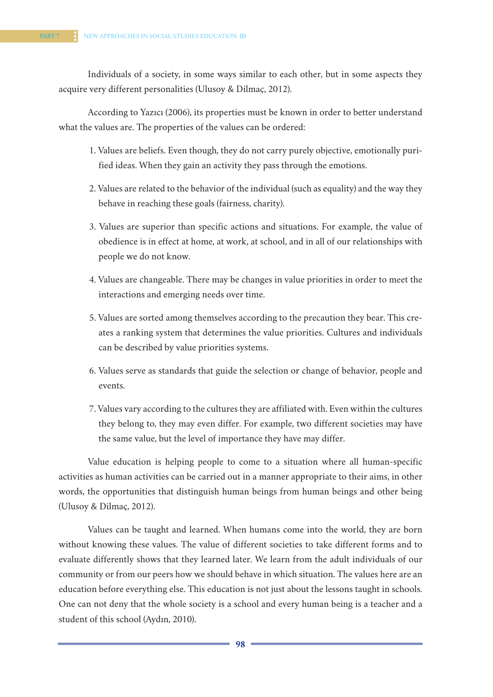Individuals of a society, in some ways similar to each other, but in some aspects they acquire very different personalities (Ulusoy & Dilmaç, 2012).

According to Yazıcı (2006), its properties must be known in order to better understand what the values are. The properties of the values can be ordered:

- 1. Values are beliefs. Even though, they do not carry purely objective, emotionally purified ideas. When they gain an activity they pass through the emotions.
- 2. Values are related to the behavior of the individual (such as equality) and the way they behave in reaching these goals (fairness, charity).
- 3. Values are superior than specific actions and situations. For example, the value of obedience is in effect at home, at work, at school, and in all of our relationships with people we do not know.
- 4. Values are changeable. There may be changes in value priorities in order to meet the interactions and emerging needs over time.
- 5. Values are sorted among themselves according to the precaution they bear. This creates a ranking system that determines the value priorities. Cultures and individuals can be described by value priorities systems.
- 6. Values serve as standards that guide the selection or change of behavior, people and events.
- 7. Values vary according to the cultures they are affiliated with. Even within the cultures they belong to, they may even differ. For example, two different societies may have the same value, but the level of importance they have may differ.

Value education is helping people to come to a situation where all human-specific activities as human activities can be carried out in a manner appropriate to their aims, in other words, the opportunities that distinguish human beings from human beings and other being (Ulusoy & Dilmaç, 2012).

Values can be taught and learned. When humans come into the world, they are born without knowing these values. The value of different societies to take different forms and to evaluate differently shows that they learned later. We learn from the adult individuals of our community or from our peers how we should behave in which situation. The values here are an education before everything else. This education is not just about the lessons taught in schools. One can not deny that the whole society is a school and every human being is a teacher and a student of this school (Aydın, 2010).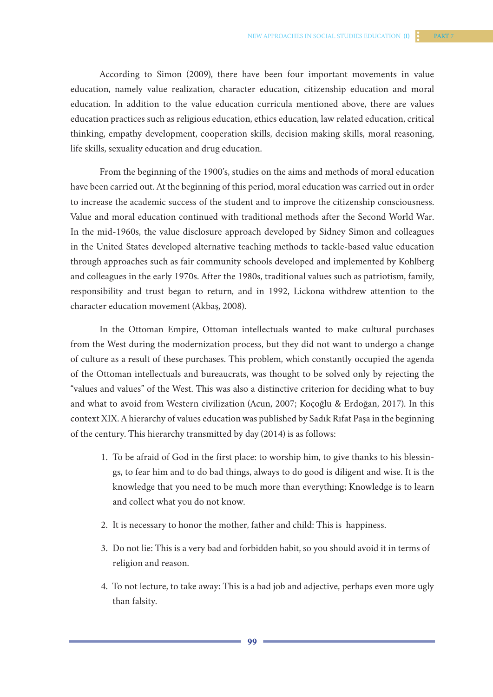According to Simon (2009), there have been four important movements in value education, namely value realization, character education, citizenship education and moral education. In addition to the value education curricula mentioned above, there are values education practices such as religious education, ethics education, law related education, critical thinking, empathy development, cooperation skills, decision making skills, moral reasoning, life skills, sexuality education and drug education.

From the beginning of the 1900's, studies on the aims and methods of moral education have been carried out. At the beginning of this period, moral education was carried out in order to increase the academic success of the student and to improve the citizenship consciousness. Value and moral education continued with traditional methods after the Second World War. In the mid-1960s, the value disclosure approach developed by Sidney Simon and colleagues in the United States developed alternative teaching methods to tackle-based value education through approaches such as fair community schools developed and implemented by Kohlberg and colleagues in the early 1970s. After the 1980s, traditional values such as patriotism, family, responsibility and trust began to return, and in 1992, Lickona withdrew attention to the character education movement (Akbaş, 2008).

In the Ottoman Empire, Ottoman intellectuals wanted to make cultural purchases from the West during the modernization process, but they did not want to undergo a change of culture as a result of these purchases. This problem, which constantly occupied the agenda of the Ottoman intellectuals and bureaucrats, was thought to be solved only by rejecting the "values and values" of the West. This was also a distinctive criterion for deciding what to buy and what to avoid from Western civilization (Acun, 2007; Koçoğlu & Erdoğan, 2017). In this context XIX. A hierarchy of values education was published by Sadık Rıfat Paşa in the beginning of the century. This hierarchy transmitted by day (2014) is as follows:

- 1. To be afraid of God in the first place: to worship him, to give thanks to his blessings, to fear him and to do bad things, always to do good is diligent and wise. It is the knowledge that you need to be much more than everything; Knowledge is to learn and collect what you do not know.
- 2. It is necessary to honor the mother, father and child: This is happiness.
- 3. Do not lie: This is a very bad and forbidden habit, so you should avoid it in terms of religion and reason.
- 4. To not lecture, to take away: This is a bad job and adjective, perhaps even more ugly than falsity.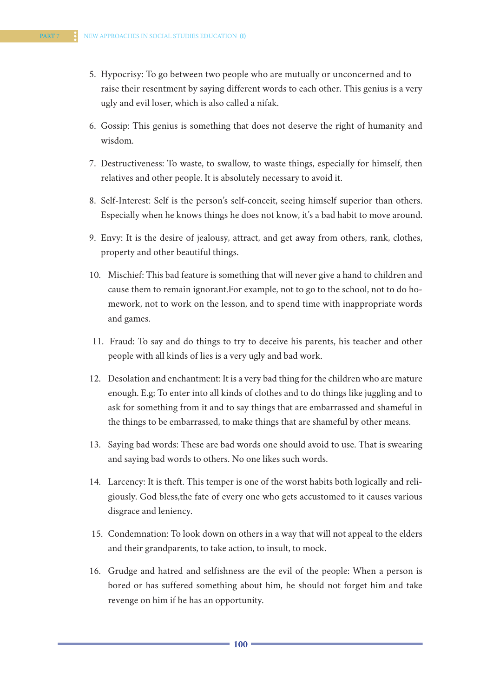- 5. Hypocrisy: To go between two people who are mutually or unconcerned and to raise their resentment by saying different words to each other. This genius is a very ugly and evil loser, which is also called a nifak.
- 6. Gossip: This genius is something that does not deserve the right of humanity and wisdom.
- 7. Destructiveness: To waste, to swallow, to waste things, especially for himself, then relatives and other people. It is absolutely necessary to avoid it.
- 8. Self-Interest: Self is the person's self-conceit, seeing himself superior than others. Especially when he knows things he does not know, it's a bad habit to move around.
- 9. Envy: It is the desire of jealousy, attract, and get away from others, rank, clothes, property and other beautiful things.
- 10. Mischief: This bad feature is something that will never give a hand to children and cause them to remain ignorant.For example, not to go to the school, not to do homework, not to work on the lesson, and to spend time with inappropriate words and games.
- 11. Fraud: To say and do things to try to deceive his parents, his teacher and other people with all kinds of lies is a very ugly and bad work.
- 12. Desolation and enchantment: It is a very bad thing for the children who are mature enough. E.g; To enter into all kinds of clothes and to do things like juggling and to ask for something from it and to say things that are embarrassed and shameful in the things to be embarrassed, to make things that are shameful by other means.
- 13. Saying bad words: These are bad words one should avoid to use. That is swearing and saying bad words to others. No one likes such words.
- 14. Larcency: It is theft. This temper is one of the worst habits both logically and religiously. God bless,the fate of every one who gets accustomed to it causes various disgrace and leniency.
- 15. Condemnation: To look down on others in a way that will not appeal to the elders and their grandparents, to take action, to insult, to mock.
- 16. Grudge and hatred and selfishness are the evil of the people: When a person is bored or has suffered something about him, he should not forget him and take revenge on him if he has an opportunity.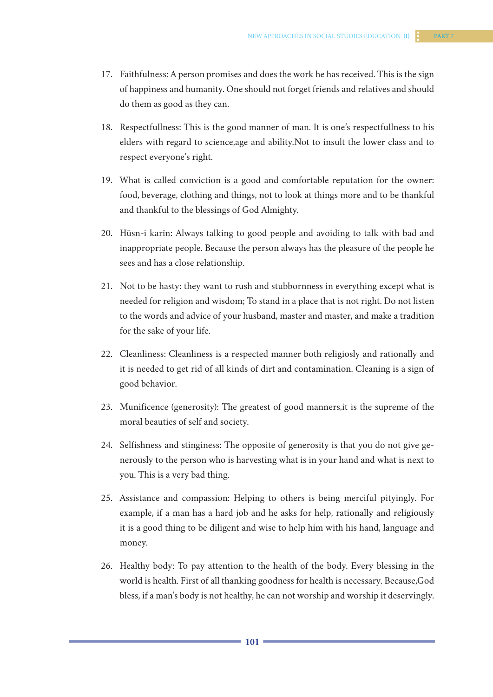- 17. Faithfulness: A person promises and does the work he has received. This is the sign of happiness and humanity. One should not forget friends and relatives and should do them as good as they can.
- 18. Respectfullness: This is the good manner of man. It is one's respectfullness to his elders with regard to science,age and ability.Not to insult the lower class and to respect everyone's right.
- 19. What is called conviction is a good and comfortable reputation for the owner: food, beverage, clothing and things, not to look at things more and to be thankful and thankful to the blessings of God Almighty.
- 20. Hüsn-i karîn: Always talking to good people and avoiding to talk with bad and inappropriate people. Because the person always has the pleasure of the people he sees and has a close relationship.
- 21. Not to be hasty: they want to rush and stubbornness in everything except what is needed for religion and wisdom; To stand in a place that is not right. Do not listen to the words and advice of your husband, master and master, and make a tradition for the sake of your life.
- 22. Cleanliness: Cleanliness is a respected manner both religiosly and rationally and it is needed to get rid of all kinds of dirt and contamination. Cleaning is a sign of good behavior.
- 23. Munificence (generosity): The greatest of good manners,it is the supreme of the moral beauties of self and society.
- 24. Selfishness and stinginess: The opposite of generosity is that you do not give generously to the person who is harvesting what is in your hand and what is next to you. This is a very bad thing.
- 25. Assistance and compassion: Helping to others is being merciful pityingly. For example, if a man has a hard job and he asks for help, rationally and religiously it is a good thing to be diligent and wise to help him with his hand, language and money.
- 26. Healthy body: To pay attention to the health of the body. Every blessing in the world is health. First of all thanking goodness for health is necessary. Because,God bless, if a man's body is not healthy, he can not worship and worship it deservingly.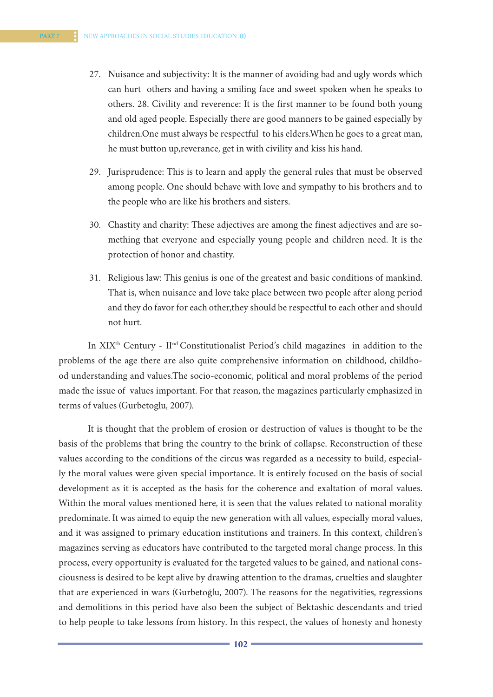- 27. Nuisance and subjectivity: It is the manner of avoiding bad and ugly words which can hurt others and having a smiling face and sweet spoken when he speaks to others. 28. Civility and reverence: It is the first manner to be found both young and old aged people. Especially there are good manners to be gained especially by children.One must always be respectful to his elders.When he goes to a great man, he must button up,reverance, get in with civility and kiss his hand.
- 29. Jurisprudence: This is to learn and apply the general rules that must be observed among people. One should behave with love and sympathy to his brothers and to the people who are like his brothers and sisters.
- 30. Chastity and charity: These adjectives are among the finest adjectives and are something that everyone and especially young people and children need. It is the protection of honor and chastity.
- 31. Religious law: This genius is one of the greatest and basic conditions of mankind. That is, when nuisance and love take place between two people after along period and they do favor for each other,they should be respectful to each other and should not hurt.

In XIX<sup>th</sup> Century - II<sup>nd</sup> Constitutionalist Period's child magazines in addition to the problems of the age there are also quite comprehensive information on childhood, childhood understanding and values.The socio-economic, political and moral problems of the period made the issue of values important. For that reason, the magazines particularly emphasized in terms of values (Gurbetoglu, 2007).

It is thought that the problem of erosion or destruction of values is thought to be the basis of the problems that bring the country to the brink of collapse. Reconstruction of these values according to the conditions of the circus was regarded as a necessity to build, especially the moral values were given special importance. It is entirely focused on the basis of social development as it is accepted as the basis for the coherence and exaltation of moral values. Within the moral values mentioned here, it is seen that the values related to national morality predominate. It was aimed to equip the new generation with all values, especially moral values, and it was assigned to primary education institutions and trainers. In this context, children's magazines serving as educators have contributed to the targeted moral change process. In this process, every opportunity is evaluated for the targeted values to be gained, and national consciousness is desired to be kept alive by drawing attention to the dramas, cruelties and slaughter that are experienced in wars (Gurbetoğlu, 2007). The reasons for the negativities, regressions and demolitions in this period have also been the subject of Bektashic descendants and tried to help people to take lessons from history. In this respect, the values of honesty and honesty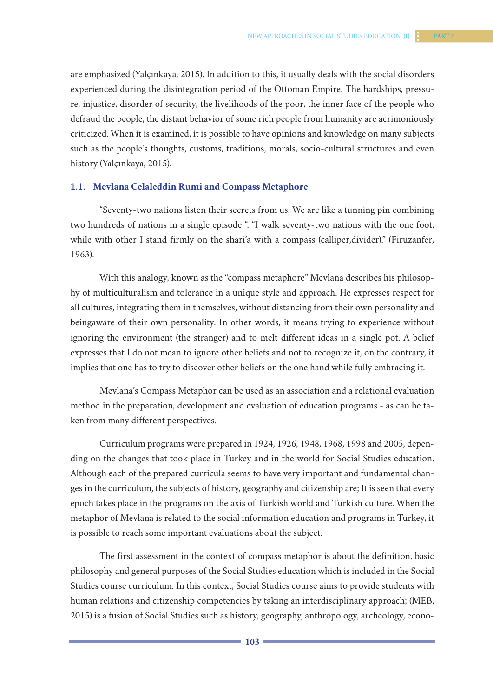are emphasized (Yalçınkaya, 2015). In addition to this, it usually deals with the social disorders experienced during the disintegration period of the Ottoman Empire. The hardships, pressure, injustice, disorder of security, the livelihoods of the poor, the inner face of the people who defraud the people, the distant behavior of some rich people from humanity are acrimoniously criticized. When it is examined, it is possible to have opinions and knowledge on many subjects such as the people's thoughts, customs, traditions, morals, socio-cultural structures and even history (Yalçınkaya, 2015).

### 1.1. **Mevlana Celaleddin Rumi and Compass Metaphore**

"Seventy-two nations listen their secrets from us. We are like a tunning pin combining two hundreds of nations in a single episode ". "I walk seventy-two nations with the one foot, while with other I stand firmly on the shari'a with a compass (calliper, divider)." (Firuzanfer, 1963).

With this analogy, known as the "compass metaphore" Mevlana describes his philosophy of multiculturalism and tolerance in a unique style and approach. He expresses respect for all cultures, integrating them in themselves, without distancing from their own personality and beingaware of their own personality. In other words, it means trying to experience without ignoring the environment (the stranger) and to melt different ideas in a single pot. A belief expresses that I do not mean to ignore other beliefs and not to recognize it, on the contrary, it implies that one has to try to discover other beliefs on the one hand while fully embracing it.

Mevlana's Compass Metaphor can be used as an association and a relational evaluation method in the preparation, development and evaluation of education programs - as can be taken from many different perspectives.

Curriculum programs were prepared in 1924, 1926, 1948, 1968, 1998 and 2005, depending on the changes that took place in Turkey and in the world for Social Studies education. Although each of the prepared curricula seems to have very important and fundamental changes in the curriculum, the subjects of history, geography and citizenship are; It is seen that every epoch takes place in the programs on the axis of Turkish world and Turkish culture. When the metaphor of Mevlana is related to the social information education and programs in Turkey, it is possible to reach some important evaluations about the subject.

The first assessment in the context of compass metaphor is about the definition, basic philosophy and general purposes of the Social Studies education which is included in the Social Studies course curriculum. In this context, Social Studies course aims to provide students with human relations and citizenship competencies by taking an interdisciplinary approach; (MEB, 2015) is a fusion of Social Studies such as history, geography, anthropology, archeology, econo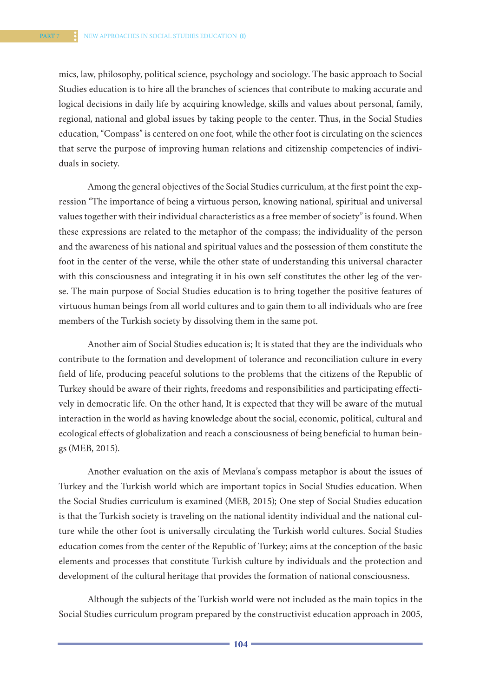mics, law, philosophy, political science, psychology and sociology. The basic approach to Social Studies education is to hire all the branches of sciences that contribute to making accurate and logical decisions in daily life by acquiring knowledge, skills and values about personal, family, regional, national and global issues by taking people to the center. Thus, in the Social Studies education, "Compass" is centered on one foot, while the other foot is circulating on the sciences that serve the purpose of improving human relations and citizenship competencies of individuals in society.

Among the general objectives of the Social Studies curriculum, at the first point the expression "The importance of being a virtuous person, knowing national, spiritual and universal values together with their individual characteristics as a free member of society" is found. When these expressions are related to the metaphor of the compass; the individuality of the person and the awareness of his national and spiritual values and the possession of them constitute the foot in the center of the verse, while the other state of understanding this universal character with this consciousness and integrating it in his own self constitutes the other leg of the verse. The main purpose of Social Studies education is to bring together the positive features of virtuous human beings from all world cultures and to gain them to all individuals who are free members of the Turkish society by dissolving them in the same pot.

Another aim of Social Studies education is; It is stated that they are the individuals who contribute to the formation and development of tolerance and reconciliation culture in every field of life, producing peaceful solutions to the problems that the citizens of the Republic of Turkey should be aware of their rights, freedoms and responsibilities and participating effectively in democratic life. On the other hand, It is expected that they will be aware of the mutual interaction in the world as having knowledge about the social, economic, political, cultural and ecological effects of globalization and reach a consciousness of being beneficial to human beings (MEB, 2015).

Another evaluation on the axis of Mevlana's compass metaphor is about the issues of Turkey and the Turkish world which are important topics in Social Studies education. When the Social Studies curriculum is examined (MEB, 2015); One step of Social Studies education is that the Turkish society is traveling on the national identity individual and the national culture while the other foot is universally circulating the Turkish world cultures. Social Studies education comes from the center of the Republic of Turkey; aims at the conception of the basic elements and processes that constitute Turkish culture by individuals and the protection and development of the cultural heritage that provides the formation of national consciousness.

Although the subjects of the Turkish world were not included as the main topics in the Social Studies curriculum program prepared by the constructivist education approach in 2005,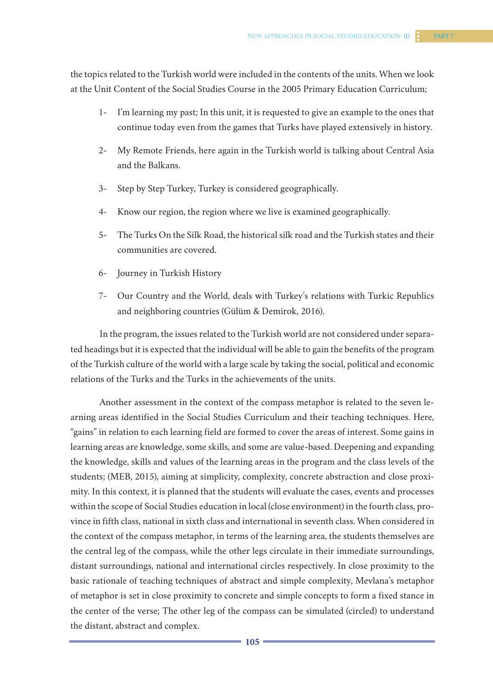- 1- I'm learning my past; In this unit, it is requested to give an example to the ones that continue today even from the games that Turks have played extensively in history.
- 2- My Remote Friends, here again in the Turkish world is talking about Central Asia and the Balkans.
- 3- Step by Step Turkey, Turkey is considered geographically.
- 4- Know our region, the region where we live is examined geographically.
- 5- The Turks On the Silk Road, the historical silk road and the Turkish states and their communities are covered.
- 6- Journey in Turkish History
- 7- Our Country and the World, deals with Turkey's relations with Turkic Republics and neighboring countries (Gülüm & Demirok, 2016).

In the program, the issues related to the Turkish world are not considered under separated headings but it is expected that the individual will be able to gain the benefits of the program of the Turkish culture of the world with a large scale by taking the social, political and economic relations of the Turks and the Turks in the achievements of the units.

Another assessment in the context of the compass metaphor is related to the seven learning areas identified in the Social Studies Curriculum and their teaching techniques. Here, "gains" in relation to each learning field are formed to cover the areas of interest. Some gains in learning areas are knowledge, some skills, and some are value-based. Deepening and expanding the knowledge, skills and values of the learning areas in the program and the class levels of the students; (MEB, 2015), aiming at simplicity, complexity, concrete abstraction and close proximity. In this context, it is planned that the students will evaluate the cases, events and processes within the scope of Social Studies education in local (close environment) in the fourth class, province in fifth class, national in sixth class and international in seventh class. When considered in the context of the compass metaphor, in terms of the learning area, the students themselves are the central leg of the compass, while the other legs circulate in their immediate surroundings, distant surroundings, national and international circles respectively. In close proximity to the basic rationale of teaching techniques of abstract and simple complexity, Mevlana's metaphor of metaphor is set in close proximity to concrete and simple concepts to form a fixed stance in the center of the verse; The other leg of the compass can be simulated (circled) to understand the distant, abstract and complex.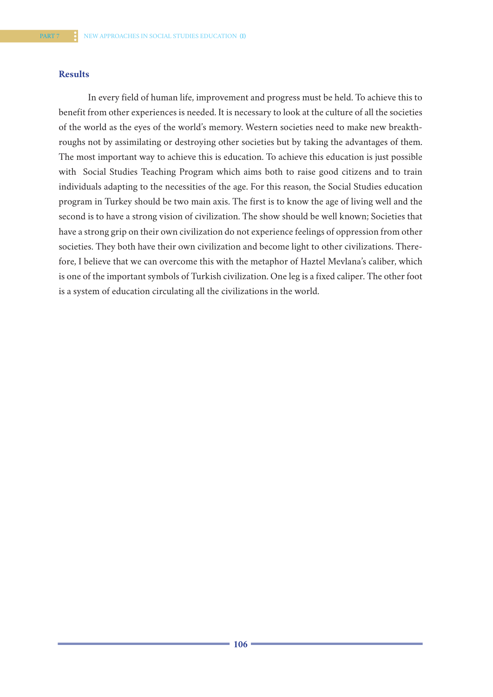### **Results**

In every field of human life, improvement and progress must be held. To achieve this to benefit from other experiences is needed. It is necessary to look at the culture of all the societies of the world as the eyes of the world's memory. Western societies need to make new breakthroughs not by assimilating or destroying other societies but by taking the advantages of them. The most important way to achieve this is education. To achieve this education is just possible with Social Studies Teaching Program which aims both to raise good citizens and to train individuals adapting to the necessities of the age. For this reason, the Social Studies education program in Turkey should be two main axis. The first is to know the age of living well and the second is to have a strong vision of civilization. The show should be well known; Societies that have a strong grip on their own civilization do not experience feelings of oppression from other societies. They both have their own civilization and become light to other civilizations. Therefore, I believe that we can overcome this with the metaphor of Haztel Mevlana's caliber, which is one of the important symbols of Turkish civilization. One leg is a fixed caliper. The other foot is a system of education circulating all the civilizations in the world.